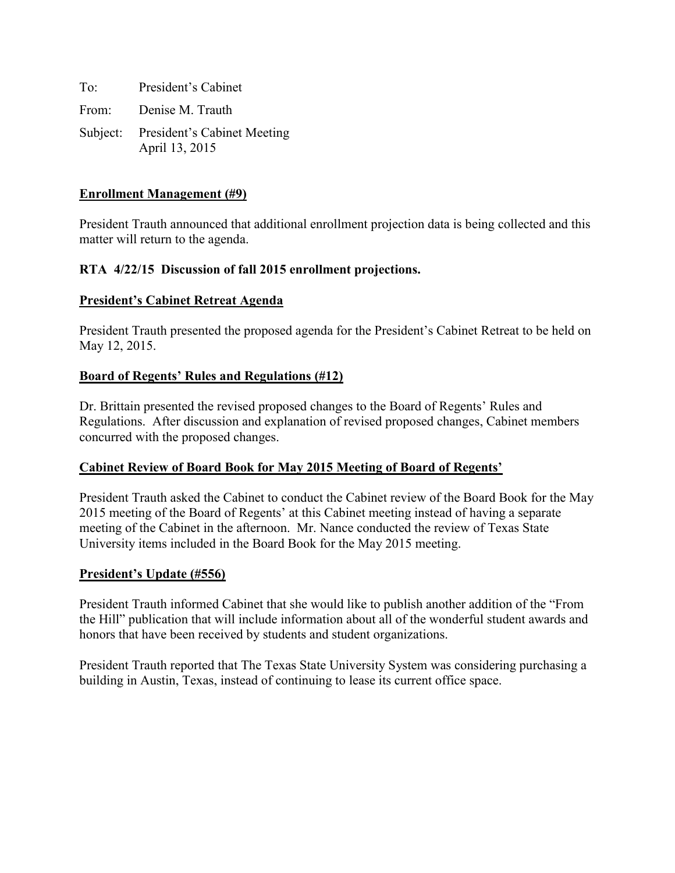To: President's Cabinet From: Denise M. Trauth Subject: President's Cabinet Meeting April 13, 2015

## **Enrollment Management (#9)**

President Trauth announced that additional enrollment projection data is being collected and this matter will return to the agenda.

## **RTA 4/22/15 Discussion of fall 2015 enrollment projections.**

### **President's Cabinet Retreat Agenda**

President Trauth presented the proposed agenda for the President's Cabinet Retreat to be held on May 12, 2015.

## **Board of Regents' Rules and Regulations (#12)**

Dr. Brittain presented the revised proposed changes to the Board of Regents' Rules and Regulations. After discussion and explanation of revised proposed changes, Cabinet members concurred with the proposed changes.

# **Cabinet Review of Board Book for May 2015 Meeting of Board of Regents'**

President Trauth asked the Cabinet to conduct the Cabinet review of the Board Book for the May 2015 meeting of the Board of Regents' at this Cabinet meeting instead of having a separate meeting of the Cabinet in the afternoon. Mr. Nance conducted the review of Texas State University items included in the Board Book for the May 2015 meeting.

### **President's Update (#556)**

President Trauth informed Cabinet that she would like to publish another addition of the "From the Hill" publication that will include information about all of the wonderful student awards and honors that have been received by students and student organizations.

President Trauth reported that The Texas State University System was considering purchasing a building in Austin, Texas, instead of continuing to lease its current office space.